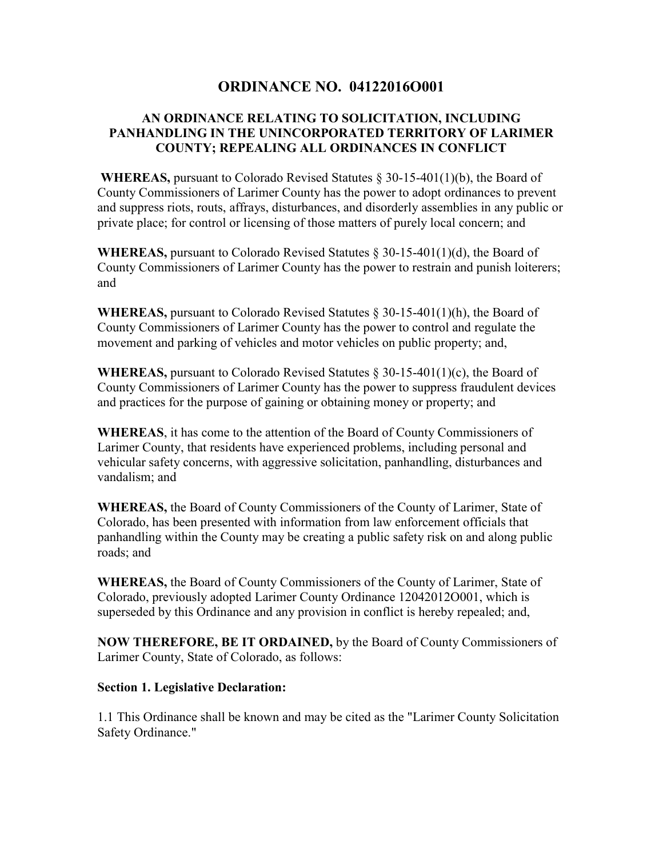# **ORDINANCE NO. 04122016O001**

### **AN ORDINANCE RELATING TO SOLICITATION, INCLUDING PANHANDLING IN THE UNINCORPORATED TERRITORY OF LARIMER COUNTY; REPEALING ALL ORDINANCES IN CONFLICT**

**WHEREAS,** pursuant to Colorado Revised Statutes § 30-15-401(1)(b), the Board of County Commissioners of Larimer County has the power to adopt ordinances to prevent and suppress riots, routs, affrays, disturbances, and disorderly assemblies in any public or private place; for control or licensing of those matters of purely local concern; and

**WHEREAS,** pursuant to Colorado Revised Statutes § 30-15-401(1)(d), the Board of County Commissioners of Larimer County has the power to restrain and punish loiterers; and

**WHEREAS,** pursuant to Colorado Revised Statutes § 30-15-401(1)(h), the Board of County Commissioners of Larimer County has the power to control and regulate the movement and parking of vehicles and motor vehicles on public property; and,

**WHEREAS,** pursuant to Colorado Revised Statutes § 30-15-401(1)(c), the Board of County Commissioners of Larimer County has the power to suppress fraudulent devices and practices for the purpose of gaining or obtaining money or property; and

**WHEREAS**, it has come to the attention of the Board of County Commissioners of Larimer County, that residents have experienced problems, including personal and vehicular safety concerns, with aggressive solicitation, panhandling, disturbances and vandalism; and

**WHEREAS,** the Board of County Commissioners of the County of Larimer, State of Colorado, has been presented with information from law enforcement officials that panhandling within the County may be creating a public safety risk on and along public roads; and

**WHEREAS,** the Board of County Commissioners of the County of Larimer, State of Colorado, previously adopted Larimer County Ordinance 12042012O001, which is superseded by this Ordinance and any provision in conflict is hereby repealed; and,

**NOW THEREFORE, BE IT ORDAINED,** by the Board of County Commissioners of Larimer County, State of Colorado, as follows:

### **Section 1. Legislative Declaration:**

1.1 This Ordinance shall be known and may be cited as the "Larimer County Solicitation Safety Ordinance."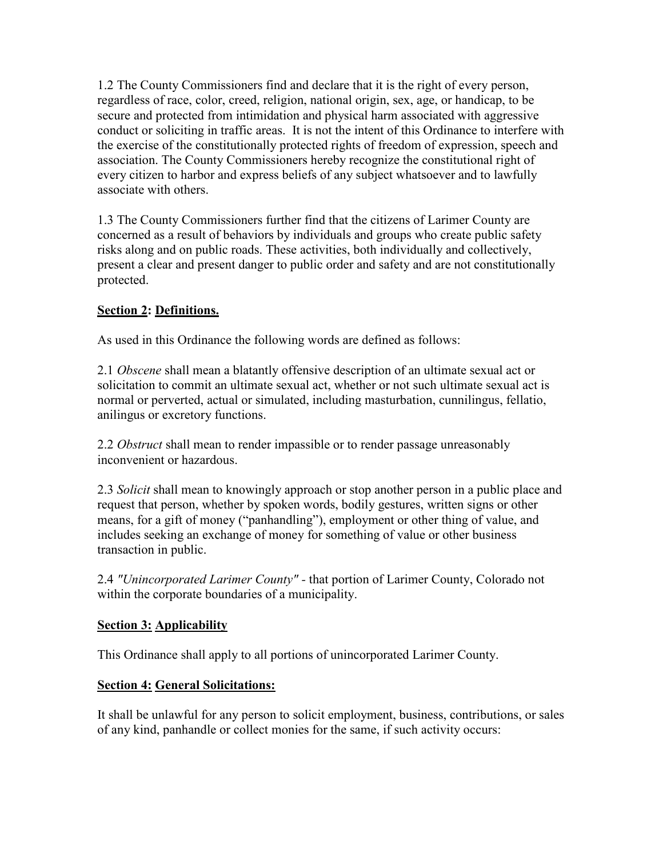1.2 The County Commissioners find and declare that it is the right of every person, regardless of race, color, creed, religion, national origin, sex, age, or handicap, to be secure and protected from intimidation and physical harm associated with aggressive conduct or soliciting in traffic areas. It is not the intent of this Ordinance to interfere with the exercise of the constitutionally protected rights of freedom of expression, speech and association. The County Commissioners hereby recognize the constitutional right of every citizen to harbor and express beliefs of any subject whatsoever and to lawfully associate with others.

1.3 The County Commissioners further find that the citizens of Larimer County are concerned as a result of behaviors by individuals and groups who create public safety risks along and on public roads. These activities, both individually and collectively, present a clear and present danger to public order and safety and are not constitutionally protected.

# **Section 2: Definitions.**

As used in this Ordinance the following words are defined as follows:

2.1 *Obscene* shall mean a blatantly offensive description of an ultimate sexual act or solicitation to commit an ultimate sexual act, whether or not such ultimate sexual act is normal or perverted, actual or simulated, including masturbation, cunnilingus, fellatio, anilingus or excretory functions.

2.2 *Obstruct* shall mean to render impassible or to render passage unreasonably inconvenient or hazardous.

2.3 *Solicit* shall mean to knowingly approach or stop another person in a public place and request that person, whether by spoken words, bodily gestures, written signs or other means, for a gift of money ("panhandling"), employment or other thing of value, and includes seeking an exchange of money for something of value or other business transaction in public.

2.4 *"Unincorporated Larimer County" -* that portion of Larimer County, Colorado not within the corporate boundaries of a municipality.

## **Section 3: Applicability**

This Ordinance shall apply to all portions of unincorporated Larimer County.

## **Section 4: General Solicitations:**

It shall be unlawful for any person to solicit employment, business, contributions, or sales of any kind, panhandle or collect monies for the same, if such activity occurs: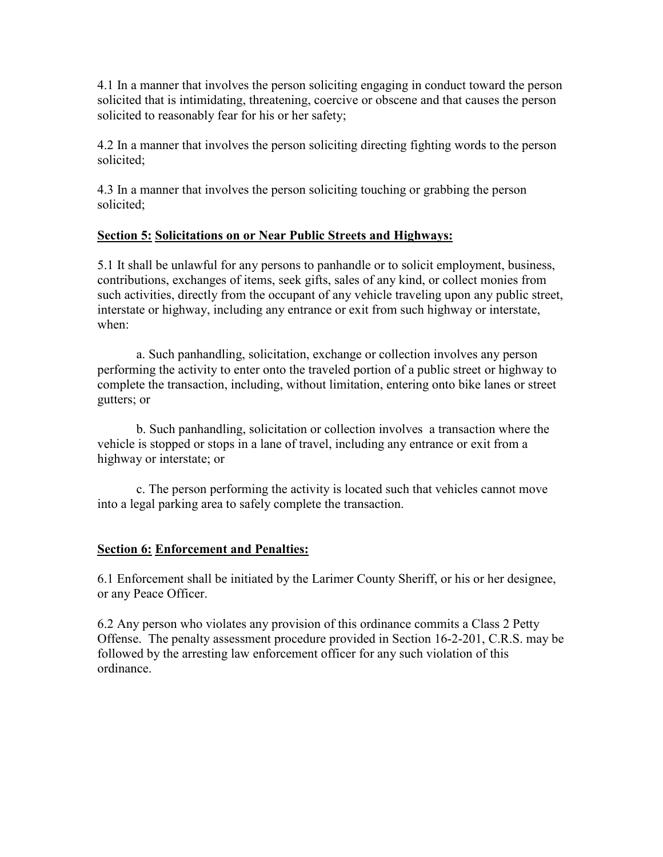4.1 In a manner that involves the person soliciting engaging in conduct toward the person solicited that is intimidating, threatening, coercive or obscene and that causes the person solicited to reasonably fear for his or her safety;

4.2 In a manner that involves the person soliciting directing fighting words to the person solicited;

4.3 In a manner that involves the person soliciting touching or grabbing the person solicited;

## **Section 5: Solicitations on or Near Public Streets and Highways:**

5.1 It shall be unlawful for any persons to panhandle or to solicit employment, business, contributions, exchanges of items, seek gifts, sales of any kind, or collect monies from such activities, directly from the occupant of any vehicle traveling upon any public street, interstate or highway, including any entrance or exit from such highway or interstate, when:

 a. Such panhandling, solicitation, exchange or collection involves any person performing the activity to enter onto the traveled portion of a public street or highway to complete the transaction, including, without limitation, entering onto bike lanes or street gutters; or

 b. Such panhandling, solicitation or collection involves a transaction where the vehicle is stopped or stops in a lane of travel, including any entrance or exit from a highway or interstate; or

 c. The person performing the activity is located such that vehicles cannot move into a legal parking area to safely complete the transaction.

## **Section 6: Enforcement and Penalties:**

6.1 Enforcement shall be initiated by the Larimer County Sheriff, or his or her designee, or any Peace Officer.

6.2 Any person who violates any provision of this ordinance commits a Class 2 Petty Offense. The penalty assessment procedure provided in Section 16-2-201, C.R.S. may be followed by the arresting law enforcement officer for any such violation of this ordinance.